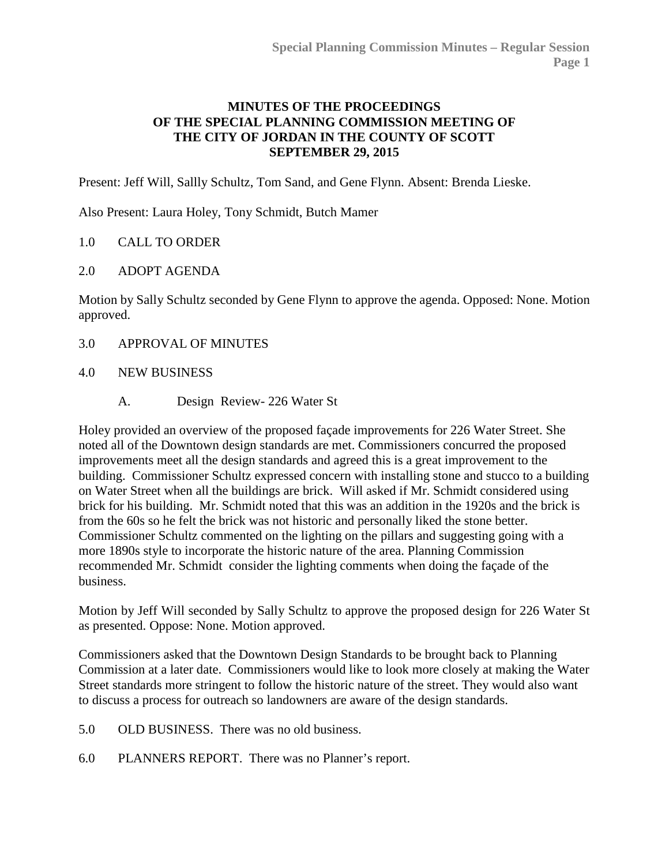## **MINUTES OF THE PROCEEDINGS OF THE SPECIAL PLANNING COMMISSION MEETING OF THE CITY OF JORDAN IN THE COUNTY OF SCOTT SEPTEMBER 29, 2015**

Present: Jeff Will, Sallly Schultz, Tom Sand, and Gene Flynn. Absent: Brenda Lieske.

Also Present: Laura Holey, Tony Schmidt, Butch Mamer

## 1.0 [CALL TO ORDER](http://jordan-mn.granicus.com/wordlinkreceiver.php?clip_id=5393e229-458e-469e-a59b-9813560db336&meta_id=538df6f0-ecf0-42e2-b48a-4f791e10884d&time=38)

## 2.0 [ADOPT AGENDA](http://jordan-mn.granicus.com/wordlinkreceiver.php?clip_id=5393e229-458e-469e-a59b-9813560db336&meta_id=8391db19-ae61-440c-9348-8aab50e7effa&time=53)

Motion by Sally Schultz seconded by Gene Flynn to approve the agenda. Opposed: None. Motion approved.

- 3.0 [APPROVAL OF MINUTES](http://jordan-mn.granicus.com/wordlinkreceiver.php?clip_id=5393e229-458e-469e-a59b-9813560db336&meta_id=621bfe8e-7e54-4bde-aac7-5c7e49be2f63&time=73)
- 4.0 [NEW BUSINESS](http://jordan-mn.granicus.com/wordlinkreceiver.php?clip_id=5393e229-458e-469e-a59b-9813560db336&meta_id=12a0033b-b330-4233-bb2d-f1cfa00617d6&time=74)
	- A. [Design Review-](http://jordan-mn.granicus.com/wordlinkreceiver.php?clip_id=5393e229-458e-469e-a59b-9813560db336&meta_id=a8291eac-a19c-4774-b5d1-f519512f2491&time=75) 226 Water St

Holey provided an overview of the proposed façade improvements for 226 Water Street. She noted all of the Downtown design standards are met. Commissioners concurred the proposed improvements meet all the design standards and agreed this is a great improvement to the building. Commissioner Schultz expressed concern with installing stone and stucco to a building on Water Street when all the buildings are brick. Will asked if Mr. Schmidt considered using brick for his building. Mr. Schmidt noted that this was an addition in the 1920s and the brick is from the 60s so he felt the brick was not historic and personally liked the stone better. Commissioner Schultz commented on the lighting on the pillars and suggesting going with a more 1890s style to incorporate the historic nature of the area. Planning Commission recommended Mr. Schmidt consider the lighting comments when doing the façade of the business.

Motion by Jeff Will seconded by Sally Schultz to approve the proposed design for 226 Water St as presented. Oppose: None. Motion approved.

Commissioners asked that the Downtown Design Standards to be brought back to Planning Commission at a later date. Commissioners would like to look more closely at making the Water Street standards more stringent to follow the historic nature of the street. They would also want to discuss a process for outreach so landowners are aware of the design standards.

- 5.0 [OLD BUSINESS. There was no old business.](http://jordan-mn.granicus.com/wordlinkreceiver.php?clip_id=5393e229-458e-469e-a59b-9813560db336&meta_id=c218c635-8d85-4e65-8d14-ca8cf35751ea&time=1356)
- 6.0 [PLANNERS REPORT. There was no Planner's report.](http://jordan-mn.granicus.com/wordlinkreceiver.php?clip_id=5393e229-458e-469e-a59b-9813560db336&meta_id=7ea47f14-c508-4458-a6c4-02d59846ea43&time=1363)